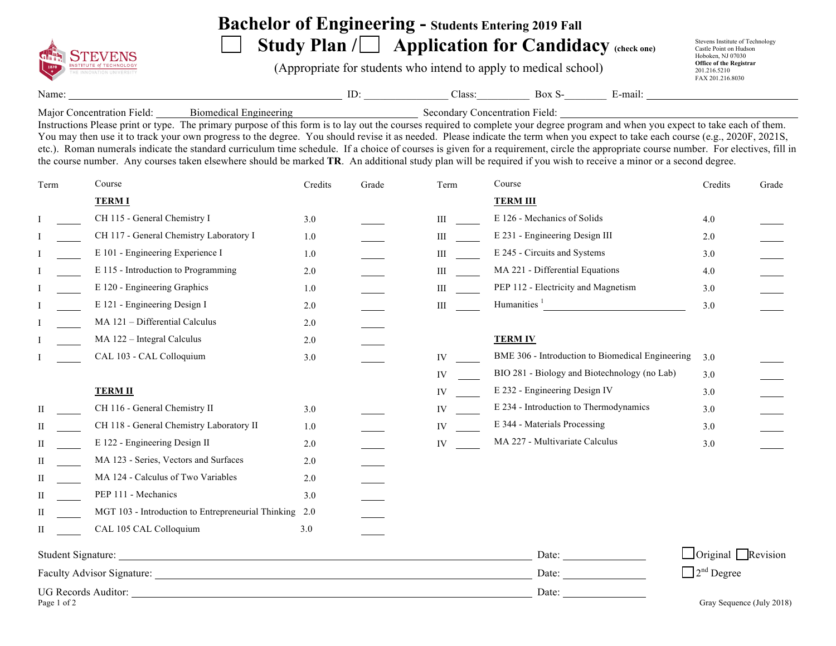

## **Bachelor of Engineering - Students Entering 2019 Fall**

Study Plan / **Application for Candidacy** (check one)

(Appropriate for students who intend to apply to medical school)

Stevens Institute of Technology Castle Point on Hudson Hoboken, NJ 07030 **Office of the Registrar**  201.216.5210 FAX 201.216.8030

Name: ID: Class: Box S- E-mail:

Major Concentration Field: Biomedical Engineering Secondary Concentration Field:

Instructions Please print or type. The primary purpose of this form is to lay out the courses required to complete your degree program and when you expect to take each of them. You may then use it to track your own progress to the degree. You should revise it as needed. Please indicate the term when you expect to take each course (e.g., 2020F, 2021S, etc.). Roman numerals indicate the standard curriculum time schedule. If a choice of courses is given for a requirement, circle the appropriate course number. For electives, fill in the course number. Any courses taken elsewhere should be marked **TR**. An additional study plan will be required if you wish to receive a minor or a second degree.

| Term        | Course                                                 | Credits | Grade | Term | Course                                           | Credits                       | Grade                     |
|-------------|--------------------------------------------------------|---------|-------|------|--------------------------------------------------|-------------------------------|---------------------------|
|             | <b>TERM I</b>                                          |         |       |      | <b>TERM III</b>                                  |                               |                           |
|             | CH 115 - General Chemistry I                           | 3.0     |       | Ш    | E 126 - Mechanics of Solids                      | 4.0                           |                           |
|             | CH 117 - General Chemistry Laboratory I                | 1.0     |       | Ш    | E 231 - Engineering Design III                   | 2.0                           |                           |
|             | E 101 - Engineering Experience I                       | 1.0     |       | Ш    | E 245 - Circuits and Systems                     | 3.0                           |                           |
|             | E 115 - Introduction to Programming                    | 2.0     |       | Ш    | MA 221 - Differential Equations                  | 4.0                           |                           |
|             | E 120 - Engineering Graphics                           | 1.0     |       | Ш    | PEP 112 - Electricity and Magnetism              | 3.0                           |                           |
|             | E 121 - Engineering Design I                           | 2.0     |       | III  | Humanities $\frac{1}{1}$                         | 3.0                           |                           |
|             | MA 121 - Differential Calculus                         | 2.0     |       |      |                                                  |                               |                           |
|             | MA 122 - Integral Calculus                             | 2.0     |       |      | <b>TERM IV</b>                                   |                               |                           |
|             | CAL 103 - CAL Colloquium                               | 3.0     |       | IV   | BME 306 - Introduction to Biomedical Engineering | 3.0                           |                           |
|             |                                                        |         |       | IV   | BIO 281 - Biology and Biotechnology (no Lab)     | 3.0                           |                           |
|             | <b>TERM II</b>                                         |         |       | IV   | E 232 - Engineering Design IV                    | 3.0                           |                           |
| П           | CH 116 - General Chemistry II                          | 3.0     |       | IV   | E 234 - Introduction to Thermodynamics           | 3.0                           |                           |
| П           | CH 118 - General Chemistry Laboratory II               | 1.0     |       | IV   | E 344 - Materials Processing                     | 3.0                           |                           |
| П           | E 122 - Engineering Design II                          | 2.0     |       | IV   | MA 227 - Multivariate Calculus                   | 3.0                           |                           |
| П           | MA 123 - Series, Vectors and Surfaces                  | 2.0     |       |      |                                                  |                               |                           |
| H           | MA 124 - Calculus of Two Variables                     | 2.0     |       |      |                                                  |                               |                           |
| П           | PEP 111 - Mechanics                                    | 3.0     |       |      |                                                  |                               |                           |
| П           | MGT 103 - Introduction to Entrepreneurial Thinking 2.0 |         |       |      |                                                  |                               |                           |
| П           | CAL 105 CAL Colloquium                                 | 3.0     |       |      |                                                  |                               |                           |
|             |                                                        |         |       |      | Date:                                            | $\Box$ Original Revision      |                           |
|             |                                                        |         |       |      | Date:                                            | $\Box$ 2 <sup>nd</sup> Degree |                           |
| Page 1 of 2 |                                                        |         |       |      | Date:                                            |                               | Gray Sequence (July 2018) |